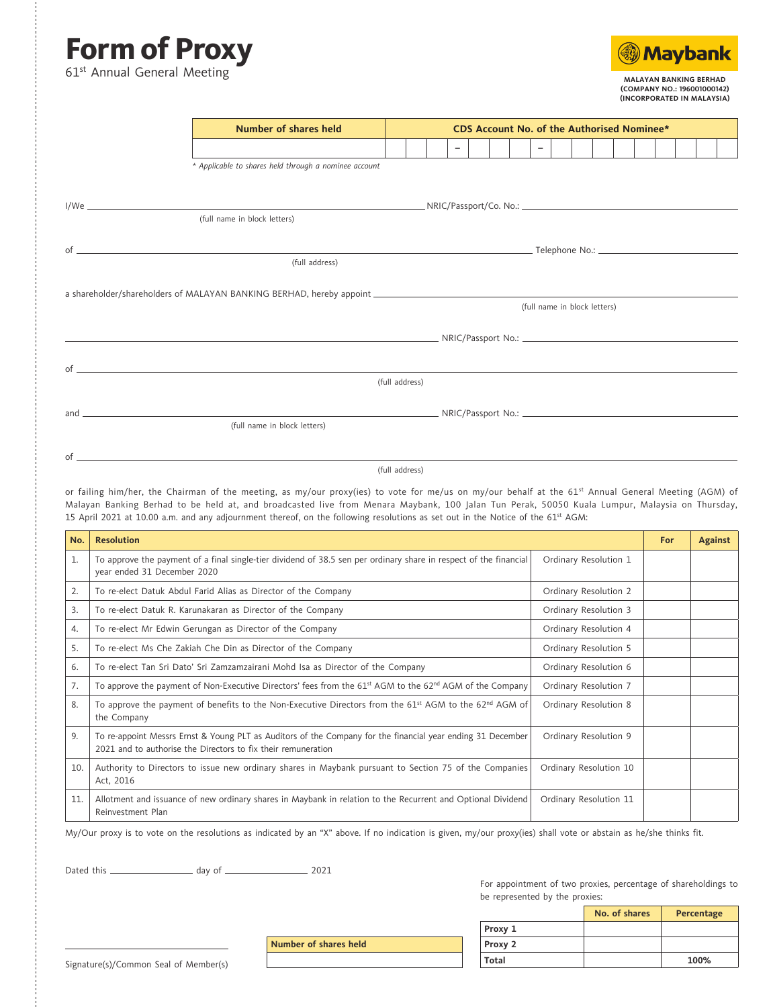## **Form of Proxy** 61<sup>st</sup> Annual General Meeting

of



**MALAYAN BANKING BERHAD (COMPANY NO.: 196001000142) (INCORPORATED IN MALAYSIA)**

| <b>Number of shares held</b>                          | <b>CDS Account No. of the Authorised Nominee*</b> |  |  |                          |  |  |  |  |        |  |                              |  |  |  |
|-------------------------------------------------------|---------------------------------------------------|--|--|--------------------------|--|--|--|--|--------|--|------------------------------|--|--|--|
|                                                       |                                                   |  |  | $\overline{\phantom{0}}$ |  |  |  |  | $\sim$ |  |                              |  |  |  |
| * Applicable to shares held through a nominee account |                                                   |  |  |                          |  |  |  |  |        |  |                              |  |  |  |
|                                                       |                                                   |  |  |                          |  |  |  |  |        |  |                              |  |  |  |
| (full name in block letters)                          |                                                   |  |  |                          |  |  |  |  |        |  |                              |  |  |  |
|                                                       |                                                   |  |  |                          |  |  |  |  |        |  |                              |  |  |  |
| (full address)                                        |                                                   |  |  |                          |  |  |  |  |        |  |                              |  |  |  |
|                                                       |                                                   |  |  |                          |  |  |  |  |        |  |                              |  |  |  |
|                                                       |                                                   |  |  |                          |  |  |  |  |        |  | (full name in block letters) |  |  |  |
|                                                       |                                                   |  |  |                          |  |  |  |  |        |  |                              |  |  |  |
| $\circ$ f                                             |                                                   |  |  |                          |  |  |  |  |        |  |                              |  |  |  |
|                                                       | (full address)                                    |  |  |                          |  |  |  |  |        |  |                              |  |  |  |
|                                                       |                                                   |  |  |                          |  |  |  |  |        |  |                              |  |  |  |
| (full name in block letters)                          |                                                   |  |  |                          |  |  |  |  |        |  |                              |  |  |  |
|                                                       |                                                   |  |  |                          |  |  |  |  |        |  |                              |  |  |  |

## (full address)

or failing him/her, the Chairman of the meeting, as my/our proxy(ies) to vote for me/us on my/our behalf at the 61<sup>st</sup> Annual General Meeting (AGM) of Malayan Banking Berhad to be held at, and broadcasted live from Menara Maybank, 100 Jalan Tun Perak, 50050 Kuala Lumpur, Malaysia on Thursday, 15 April 2021 at 10.00 a.m. and any adjournment thereof, on the following resolutions as set out in the Notice of the 61<sup>st</sup> AGM:

| No. | <b>Resolution</b>                                                                                                                                                            |                        |  |  |  |  |
|-----|------------------------------------------------------------------------------------------------------------------------------------------------------------------------------|------------------------|--|--|--|--|
| 1.  | To approve the payment of a final single-tier dividend of 38.5 sen per ordinary share in respect of the financial<br>Ordinary Resolution 1<br>year ended 31 December 2020    |                        |  |  |  |  |
| 2.  | To re-elect Datuk Abdul Farid Alias as Director of the Company                                                                                                               | Ordinary Resolution 2  |  |  |  |  |
| 3.  | To re-elect Datuk R. Karunakaran as Director of the Company                                                                                                                  | Ordinary Resolution 3  |  |  |  |  |
| 4.  | To re-elect Mr Edwin Gerungan as Director of the Company                                                                                                                     | Ordinary Resolution 4  |  |  |  |  |
| 5.  | To re-elect Ms Che Zakiah Che Din as Director of the Company                                                                                                                 | Ordinary Resolution 5  |  |  |  |  |
| 6.  | To re-elect Tan Sri Dato' Sri Zamzamzairani Mohd Isa as Director of the Company                                                                                              | Ordinary Resolution 6  |  |  |  |  |
| 7.  | To approve the payment of Non-Executive Directors' fees from the 61 <sup>st</sup> AGM to the 62 <sup>nd</sup> AGM of the Company                                             | Ordinary Resolution 7  |  |  |  |  |
| 8.  | To approve the payment of benefits to the Non-Executive Directors from the 61 <sup>st</sup> AGM to the 62 <sup>nd</sup> AGM of<br>the Company                                | Ordinary Resolution 8  |  |  |  |  |
| 9.  | To re-appoint Messrs Ernst & Young PLT as Auditors of the Company for the financial year ending 31 December<br>2021 and to authorise the Directors to fix their remuneration | Ordinary Resolution 9  |  |  |  |  |
| 10. | Authority to Directors to issue new ordinary shares in Maybank pursuant to Section 75 of the Companies<br>Act, 2016                                                          | Ordinary Resolution 10 |  |  |  |  |
| 11. | Allotment and issuance of new ordinary shares in Maybank in relation to the Recurrent and Optional Dividend<br>Reinvestment Plan                                             | Ordinary Resolution 11 |  |  |  |  |

My/Our proxy is to vote on the resolutions as indicated by an "X" above. If no indication is given, my/our proxy(ies) shall vote or abstain as he/she thinks fit.

**Number of shares held**

Dated this day of 2021

For appointment of two proxies, percentage of shareholdings to be represented by the proxies:

|              | No. of shares | Percentage |
|--------------|---------------|------------|
| Proxy 1      |               |            |
| Proxy 2      |               |            |
| <b>Total</b> |               | 100%       |

Signature(s)/Common Seal of Member(s)